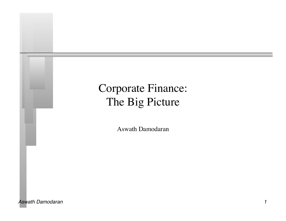# Corporate Finance: The Big Picture

Aswath Damodaran

*Aswath Damodaran 1*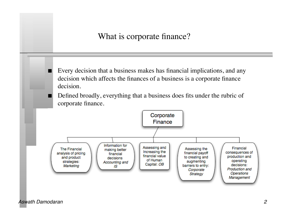What is corporate finance?

 Every decision that a business makes has financial implications, and any decision which affects the finances of a business is a corporate finance decision.

 Defined broadly, everything that a business does fits under the rubric of corporate finance.

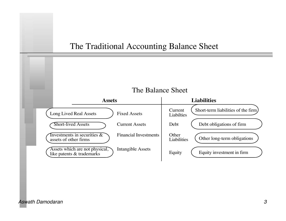### The Traditional Accounting Balance Sheet

#### The Balance Sheet

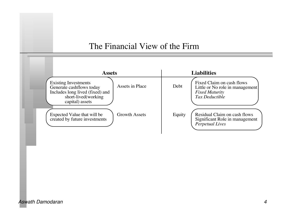#### The Financial View of the Firm

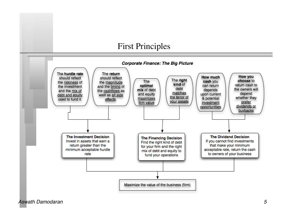### First Principles



*Aswath Damodaran 5*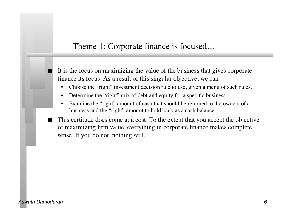## Theme 1: Corporate finance is focused…

 It is the focus on maximizing the value of the business that gives corporate finance its focus. As a result of this singular objective, we can

- Choose the "right" investment decision rule to use, given a menu of such rules.
- Determine the "right" mix of debt and equity for a specific business
- Examine the "right" amount of cash that should be returned to the owners of a business and the "right" amount to hold back as a cash balance.
- This certitude does come at a cost. To the extent that you accept the objective of maximizing firm value, everything in corporate finance makes complete sense. If you do not, nothing will.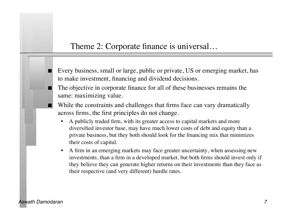#### Theme 2: Corporate finance is universal…

- Every business, small or large, public or private, US or emerging market, has to make investment, financing and dividend decisions.
- The objective in corporate finance for all of these businesses remains the same: maximizing value.
- While the constraints and challenges that firms face can vary dramatically across firms, the first principles do not change.
	- A publicly traded firm, with its greater access to capital markets and more diversified investor base, may have much lower costs of debt and equity than a private business, but they both should look for the financing mix that minimizes their costs of capital.
	- A firm in an emerging markets may face greater uncertainty, when assessing new investments, than a firm in a developed market, but both firms should invest only if they believe they can generate higher returns on their investments than they face as their respective (and very different) hurdle rates.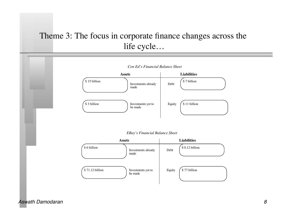# Theme 3: The focus in corporate finance changes across the life cycle…



#### *Aswath Damodaran 8*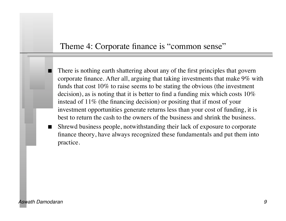### Theme 4: Corporate finance is "common sense"

- There is nothing earth shattering about any of the first principles that govern corporate finance. After all, arguing that taking investments that make 9% with funds that cost 10% to raise seems to be stating the obvious (the investment decision), as is noting that it is better to find a funding mix which costs 10% instead of 11% (the financing decision) or positing that if most of your investment opportunities generate returns less than your cost of funding, it is best to return the cash to the owners of the business and shrink the business.
- Shrewd business people, notwithstanding their lack of exposure to corporate finance theory, have always recognized these fundamentals and put them into practice.